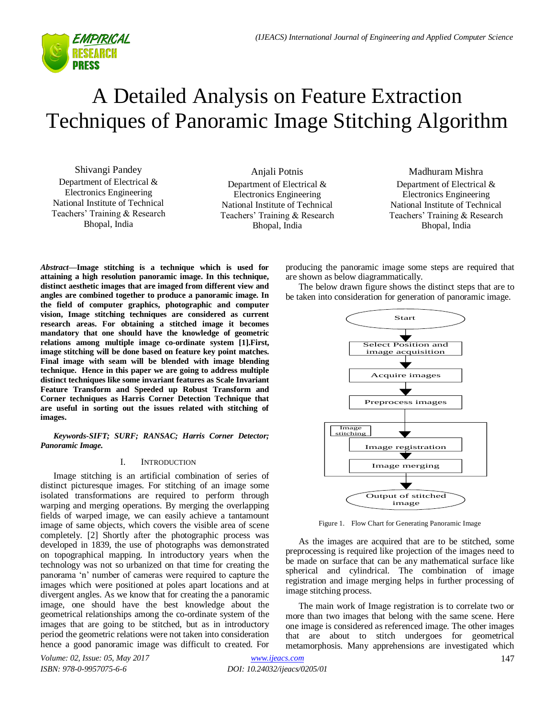

# A Detailed Analysis on Feature Extraction Techniques of Panoramic Image Stitching Algorithm

Shivangi Pandey Department of Electrical & Electronics Engineering National Institute of Technical Teachers" Training & Research Bhopal, India

Anjali Potnis Department of Electrical & Electronics Engineering National Institute of Technical Teachers" Training & Research Bhopal, India

Madhuram Mishra Department of Electrical & Electronics Engineering National Institute of Technical Teachers" Training & Research Bhopal, India

*Abstract***—Image stitching is a technique which is used for attaining a high resolution panoramic image. In this technique, distinct aesthetic images that are imaged from different view and angles are combined together to produce a panoramic image. In the field of computer graphics, photographic and computer vision, Image stitching techniques are considered as current research areas. For obtaining a stitched image it becomes mandatory that one should have the knowledge of geometric relations among multiple image co-ordinate system [1].First, image stitching will be done based on feature key point matches. Final image with seam will be blended with image blending technique. Hence in this paper we are going to address multiple distinct techniques like some invariant features as Scale Invariant Feature Transform and Speeded up Robust Transform and Corner techniques as Harris Corner Detection Technique that are useful in sorting out the issues related with stitching of images.**

*Keywords-SIFT; SURF; RANSAC; Harris Corner Detector; Panoramic Image.*

# I. INTRODUCTION

Image stitching is an artificial combination of series of distinct picturesque images. For stitching of an image some isolated transformations are required to perform through warping and merging operations. By merging the overlapping fields of warped image, we can easily achieve a tantamount image of same objects, which covers the visible area of scene completely. [2] Shortly after the photographic process was developed in 1839, the use of photographs was demonstrated on topographical mapping. In introductory years when the technology was not so urbanized on that time for creating the panorama "n" number of cameras were required to capture the images which were positioned at poles apart locations and at divergent angles. As we know that for creating the a panoramic image, one should have the best knowledge about the geometrical relationships among the co-ordinate system of the images that are going to be stitched, but as in introductory period the geometric relations were not taken into consideration hence a good panoramic image was difficult to created. For

producing the panoramic image some steps are required that are shown as below diagrammatically.

The below drawn figure shows the distinct steps that are to be taken into consideration for generation of panoramic image.



Figure 1. Flow Chart for Generating Panoramic Image

As the images are acquired that are to be stitched, some preprocessing is required like projection of the images need to be made on surface that can be any mathematical surface like spherical and cylindrical. The combination of image registration and image merging helps in further processing of image stitching process.

The main work of Image registration is to correlate two or more than two images that belong with the same scene. Here one image is considered as referenced image. The other images that are about to stitch undergoes for geometrical metamorphosis. Many apprehensions are investigated which

*Volume: 02, Issue: 05, May 2017 ISBN: 978-0-9957075-6-6*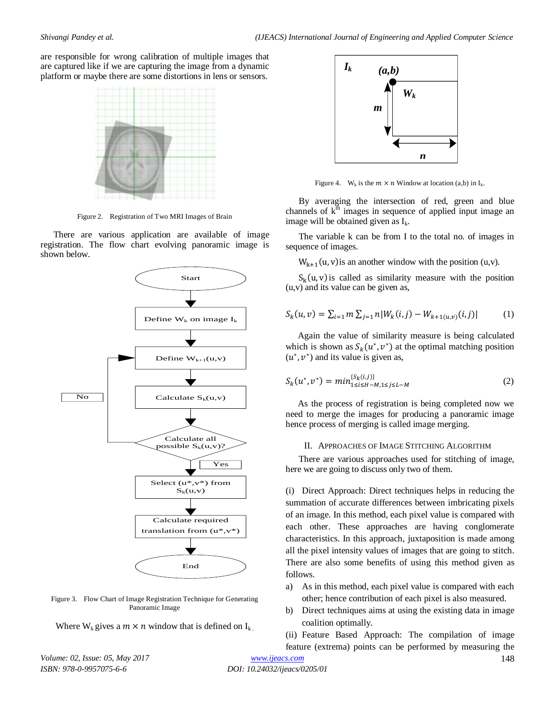are responsible for wrong calibration of multiple images that are captured like if we are capturing the image from a dynamic platform or maybe there are some distortions in lens or sensors.



Figure 2. Registration of Two MRI Images of Brain

There are various application are available of image registration. The flow chart evolving panoramic image is shown below.



Figure 3. Flow Chart of Image Registration Technique for Generating Panoramic Image

Where  $W_k$  gives a  $m \times n$  window that is defined on  $I_k$ .



Figure 4. W<sub>k</sub> is the  $m \times n$  Window at location (a,b) in  $I_k$ .

By averaging the intersection of red, green and blue channels of  $k<sup>th</sup>$  images in sequence of applied input image an image will be obtained given as  $I_k$ .

The variable k can be from I to the total no. of images in sequence of images.

 $W_{k+1}(u, v)$  is an another window with the position (u,v).

 $S_k(u, v)$  is called as similarity measure with the position (u,v) and its value can be given as,

$$
S_k(u, v) = \sum_{i=1}^{\infty} m \sum_{j=1}^{\infty} n |W_k(i, j) - W_{k+1(u, v)}(i, j)| \tag{1}
$$

Again the value of similarity measure is being calculated which is shown as  $S_k(u^*, v^*)$  at the optimal matching position  $(u^*, v^*)$  and its value is given as,

$$
S_k(u^*, v^*) = min_{1 \le i \le H-M, 1 \le j \le L-M}^{\{S_k(i,j)\}} \tag{2}
$$

As the process of registration is being completed now we need to merge the images for producing a panoramic image hence process of merging is called image merging.

### II. APPROACHES OF IMAGE STITCHING ALGORITHM

There are various approaches used for stitching of image, here we are going to discuss only two of them.

(i) Direct Approach: Direct techniques helps in reducing the summation of accurate differences between imbricating pixels of an image. In this method, each pixel value is compared with each other. These approaches are having conglomerate characteristics. In this approach, juxtaposition is made among all the pixel intensity values of images that are going to stitch. There are also some benefits of using this method given as follows.

- a) As in this method, each pixel value is compared with each other; hence contribution of each pixel is also measured.
- b) Direct techniques aims at using the existing data in image coalition optimally.

(ii) Feature Based Approach: The compilation of image feature (extrema) points can be performed by measuring the

*Volume: 02, Issue: 05, May 2017 ISBN: 978-0-9957075-6-6*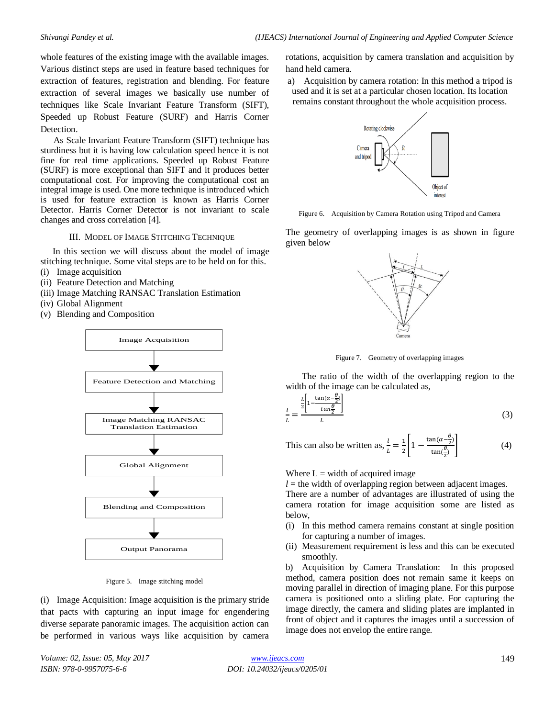whole features of the existing image with the available images. Various distinct steps are used in feature based techniques for extraction of features, registration and blending. For feature extraction of several images we basically use number of techniques like Scale Invariant Feature Transform (SIFT), Speeded up Robust Feature (SURF) and Harris Corner Detection.

As Scale Invariant Feature Transform (SIFT) technique has sturdiness but it is having low calculation speed hence it is not fine for real time applications. Speeded up Robust Feature (SURF) is more exceptional than SIFT and it produces better computational cost. For improving the computational cost an integral image is used. One more technique is introduced which is used for feature extraction is known as Harris Corner Detector. Harris Corner Detector is not invariant to scale changes and cross correlation [4].

III. MODEL OF IMAGE STITCHING TECHNIQUE

In this section we will discuss about the model of image stitching technique. Some vital steps are to be held on for this.

- (i) Image acquisition
- (ii) Feature Detection and Matching
- (iii) Image Matching RANSAC Translation Estimation
- (iv) Global Alignment
- (v) Blending and Composition



Figure 5. Image stitching model

(i) Image Acquisition: Image acquisition is the primary stride that pacts with capturing an input image for engendering diverse separate panoramic images. The acquisition action can be performed in various ways like acquisition by camera rotations, acquisition by camera translation and acquisition by hand held camera.

a) Acquisition by camera rotation: In this method a tripod is used and it is set at a particular chosen location. Its location remains constant throughout the whole acquisition process.



Figure 6. Acquisition by Camera Rotation using Tripod and Camera

The geometry of overlapping images is as shown in figure given below



Figure 7. Geometry of overlapping images

The ratio of the width of the overlapping region to the width of the image can be calculated as,

$$
\frac{l}{L} = \frac{\frac{L}{2} \left[ 1 - \frac{\tan(\alpha - \frac{\theta}{2})}{\tan \frac{\theta}{2}} \right]}{L} \tag{3}
$$

This can also be written as,  $\frac{l}{L} = \frac{1}{2}$  $\frac{1}{2}\left[1-\frac{\tan(\alpha-\frac{\theta}{2})}{\tan(\frac{\theta}{2})}\right]$  $tan(\frac{\theta}{2})$  $(4)$ 

Where  $L = \text{width of acquired image}$ 

 $l =$  the width of overlapping region between adjacent images. There are a number of advantages are illustrated of using the

camera rotation for image acquisition some are listed as below,

- (i) In this method camera remains constant at single position for capturing a number of images.
- (ii) Measurement requirement is less and this can be executed smoothly.

b) Acquisition by Camera Translation: In this proposed method, camera position does not remain same it keeps on moving parallel in direction of imaging plane. For this purpose camera is positioned onto a sliding plate. For capturing the image directly, the camera and sliding plates are implanted in front of object and it captures the images until a succession of image does not envelop the entire range.

*Volume: 02, Issue: 05, May 2017 ISBN: 978-0-9957075-6-6*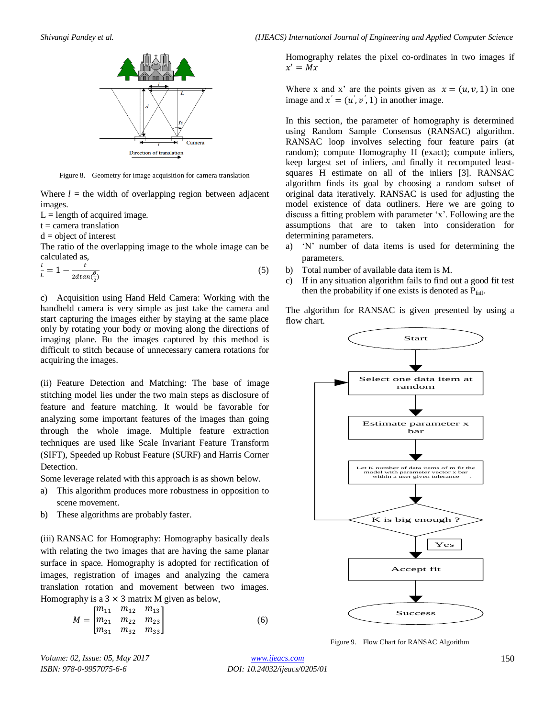

Figure 8. Geometry for image acquisition for camera translation

Where  $l =$  the width of overlapping region between adjacent images.

 $L =$  length of acquired image.

 $t =$  camera translation

 $d = object of interest$ 

The ratio of the overlapping image to the whole image can be calculated as,

$$
\frac{l}{L} = 1 - \frac{t}{2dtan(\frac{\theta}{2})}
$$
\n<sup>(5)</sup>

c) Acquisition using Hand Held Camera: Working with the handheld camera is very simple as just take the camera and start capturing the images either by staying at the same place only by rotating your body or moving along the directions of imaging plane. Bu the images captured by this method is difficult to stitch because of unnecessary camera rotations for acquiring the images.

(ii) Feature Detection and Matching: The base of image stitching model lies under the two main steps as disclosure of feature and feature matching. It would be favorable for analyzing some important features of the images than going through the whole image. Multiple feature extraction techniques are used like Scale Invariant Feature Transform (SIFT), Speeded up Robust Feature (SURF) and Harris Corner Detection.

Some leverage related with this approach is as shown below.

- a) This algorithm produces more robustness in opposition to scene movement.
- b) These algorithms are probably faster.

(iii) RANSAC for Homography: Homography basically deals with relating the two images that are having the same planar surface in space. Homography is adopted for rectification of images, registration of images and analyzing the camera translation rotation and movement between two images. Homography is a  $3 \times 3$  matrix M given as below,

$$
M = \begin{bmatrix} m_{11} & m_{12} & m_{13} \\ m_{21} & m_{22} & m_{23} \\ m_{31} & m_{32} & m_{33} \end{bmatrix}
$$
 (6)

Homography relates the pixel co-ordinates in two images if  $x'$ 

Where x and x' are the points given as  $x = (u, v, 1)$  in one image and  $x' = (u', v', 1)$  in another image.

In this section, the parameter of homography is determined using Random Sample Consensus (RANSAC) algorithm. RANSAC loop involves selecting four feature pairs (at random); compute Homography H (exact); compute inliers, keep largest set of inliers, and finally it recomputed leastsquares H estimate on all of the inliers [3]. RANSAC algorithm finds its goal by choosing a random subset of original data iteratively. RANSAC is used for adjusting the model existence of data outliners. Here we are going to discuss a fitting problem with parameter 'x'. Following are the assumptions that are to taken into consideration for determining parameters.

- a) "N" number of data items is used for determining the parameters.
- b) Total number of available data item is M.
- c) If in any situation algorithm fails to find out a good fit test then the probability if one exists is denoted as  $P_{fail}$ .

The algorithm for RANSAC is given presented by using a flow chart.



Figure 9. Flow Chart for RANSAC Algorithm

*Volume: 02, Issue: 05, May 2017 ISBN: 978-0-9957075-6-6*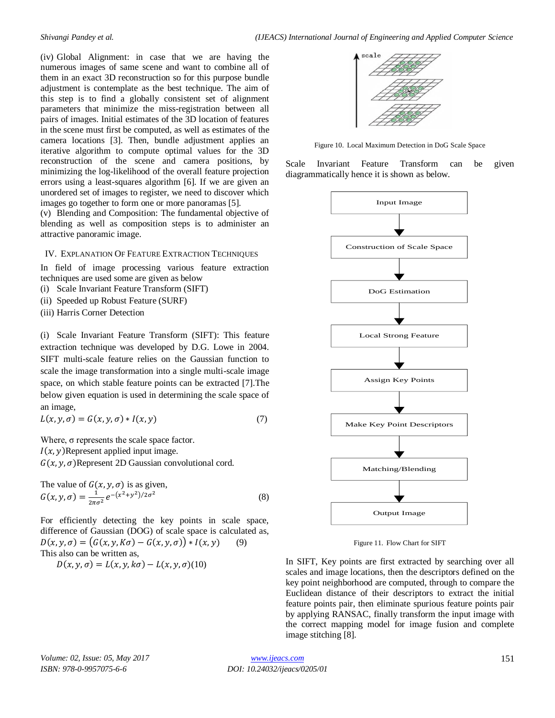(iv) Global Alignment: in case that we are having the numerous images of same scene and want to combine all of them in an exact 3D reconstruction so for this purpose bundle adjustment is contemplate as the best technique. The aim of this step is to find a globally consistent set of alignment parameters that minimize the miss-registration between all pairs of images. Initial estimates of the 3D location of features in the scene must first be computed, as well as estimates of the camera locations [3]. Then, bundle adjustment applies an iterative algorithm to compute optimal values for the 3D reconstruction of the scene and camera positions, by minimizing the log-likelihood of the overall feature projection errors using a least-squares algorithm [6]. If we are given an unordered set of images to register, we need to discover which images go together to form one or more panoramas [5].

(v) Blending and Composition: The fundamental objective of blending as well as composition steps is to administer an attractive panoramic image.

### IV. EXPLANATION OF FEATURE EXTRACTION TECHNIQUES

In field of image processing various feature extraction techniques are used some are given as below

- (i) Scale Invariant Feature Transform (SIFT)
- (ii) Speeded up Robust Feature (SURF)
- (iii) Harris Corner Detection

(i) Scale Invariant Feature Transform (SIFT): This feature extraction technique was developed by D.G. Lowe in 2004. SIFT multi-scale feature relies on the Gaussian function to scale the image transformation into a single multi-scale image space, on which stable feature points can be extracted [7].The below given equation is used in determining the scale space of an image,

$$
L(x, y, \sigma) = G(x, y, \sigma) * I(x, y)
$$
\n<sup>(7)</sup>

Where, σ represents the scale space factor.  $I(x, y)$ Represent applied input image.  $G(x, y, \sigma)$ Represent 2D Gaussian convolutional cord.

The value of  $G(x, y, \sigma)$  is as given,  $G(x, y, \sigma) = \frac{1}{2}$  $\frac{1}{2\pi\sigma^2}e^{-\left(x^2+y^2\right)/2\sigma^2}$  (8)

For efficiently detecting the key points in scale space, difference of Gaussian (DOG) of scale space is calculated as,  $D(x, y, \sigma) = (G(x, y, K\sigma) - G(x, y, \sigma)) * I(x, y)$  (9) This also can be written as,  $D(x, y, \sigma) = L(x, y, k\sigma) - L(x, y, \sigma)$ (10)



Figure 10. Local Maximum Detection in DoG Scale Space

Scale Invariant Feature Transform can be given diagrammatically hence it is shown as below.



Figure 11. Flow Chart for SIFT

In SIFT, Key points are first extracted by searching over all scales and image locations, then the descriptors defined on the key point neighborhood are computed, through to compare the Euclidean distance of their descriptors to extract the initial feature points pair, then eliminate spurious feature points pair by applying RANSAC, finally transform the input image with the correct mapping model for image fusion and complete image stitching [8].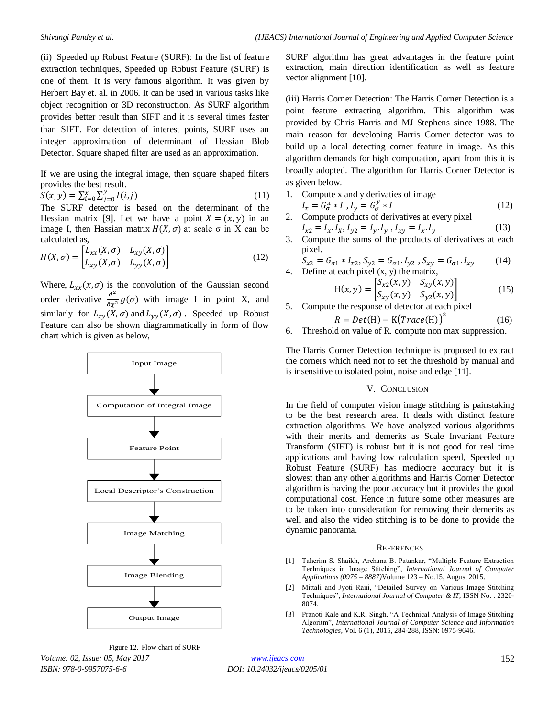(ii) Speeded up Robust Feature (SURF): In the list of feature extraction techniques, Speeded up Robust Feature (SURF) is one of them. It is very famous algorithm. It was given by Herbert Bay et. al. in 2006. It can be used in various tasks like object recognition or 3D reconstruction. As SURF algorithm provides better result than SIFT and it is several times faster than SIFT. For detection of interest points, SURF uses an integer approximation of determinant of Hessian Blob Detector. Square shaped filter are used as an approximation.

If we are using the integral image, then square shaped filters provides the best result.

$$
S(x, y) = \sum_{i=0}^{x} \sum_{j=0}^{y} I(i, j)
$$
 (11)

The SURF detector is based on the determinant of the Hessian matrix [9]. Let we have a point  $X = (x, y)$  in an image I, then Hassian matrix  $H(X, \sigma)$  at scale  $\sigma$  in X can be calculated as,

$$
H(X,\sigma) = \begin{bmatrix} L_{xx}(X,\sigma) & L_{xy}(X,\sigma) \\ L_{xy}(X,\sigma) & L_{yy}(X,\sigma) \end{bmatrix}
$$
 (12)

Where,  $L_{rr}(x, \sigma)$  is the convolution of the Gaussian second order derivative  $\frac{\partial^2}{\partial x^2} g(\sigma)$  with image I in point X, and similarly for  $L_{xy}(X,\sigma)$  and  $L_{yy}(X,\sigma)$ . Speeded up Robust Feature can also be shown diagrammatically in form of flow chart which is given as below,



*Volume: 02, Issue: 05, May 2017 ISBN: 978-0-9957075-6-6* Figure 12. Flow chart of SURF

SURF algorithm has great advantages in the feature point extraction, main direction identification as well as feature vector alignment [10].

(iii) Harris Corner Detection: The Harris Corner Detection is a point feature extracting algorithm. This algorithm was provided by Chris Harris and MJ Stephens since 1988. The main reason for developing Harris Corner detector was to build up a local detecting corner feature in image. As this algorithm demands for high computation, apart from this it is broadly adopted. The algorithm for Harris Corner Detector is as given below.

- 1. Compute x and y derivaties of image
- $I_x = G^x_\sigma * I$ ,  $I_y = G^y_\sigma * I$  (12) 2. Compute products of derivatives at every pixel

$$
I_{x2} = I_x. I_x, I_{y2} = I_y. I_y, I_{xy} = I_x. I_y
$$
 (13)

3. Compute the sums of the products of derivatives at each pixel.

$$
S_{x2} = G_{\sigma 1} * I_{x2}, S_{y2} = G_{\sigma 1}. I_{y2}, S_{xy} = G_{\sigma 1}. I_{xy}
$$
 (14)  
4. Define at each pixel (x, y) the matrix.

eine at each pixel (x, y) the matrix,  
\n
$$
H(x, y) = \begin{bmatrix} S_{x2}(x, y) & S_{xy}(x, y) \\ S_{xy}(x, y) & S_{yz}(x, y) \end{bmatrix}
$$
\n(15)

5. Compute the response of detector at each pixel

$$
R = Det(H) - K(Trace(H))^{2}
$$
 (16)

6. Threshold on value of R. compute non max suppression.

The Harris Corner Detection technique is proposed to extract the corners which need not to set the threshold by manual and is insensitive to isolated point, noise and edge [11].

# V. CONCLUSION

In the field of computer vision image stitching is painstaking to be the best research area. It deals with distinct feature extraction algorithms. We have analyzed various algorithms with their merits and demerits as Scale Invariant Feature Transform (SIFT) is robust but it is not good for real time applications and having low calculation speed, Speeded up Robust Feature (SURF) has mediocre accuracy but it is slowest than any other algorithms and Harris Corner Detector algorithm is having the poor accuracy but it provides the good computational cost. Hence in future some other measures are to be taken into consideration for removing their demerits as well and also the video stitching is to be done to provide the dynamic panorama.

### **REFERENCES**

- [1] Taherim S. Shaikh, Archana B. Patankar, "Multiple Feature Extraction Techniques in Image Stitching", *International Journal of Computer Applications (0975 – 8887)*Volume 123 – No.15, August 2015.
- [2] Mittali and Jyoti Rani, "Detailed Survey on Various Image Stitching Techniques", *International Journal of Computer & IT,* ISSN No. : 2320- 8074.
- [3] Pranoti Kale and K.R. Singh, "A Technical Analysis of Image Stitching Algoritm", *International Journal of Computer Science and Information Technologies*, Vol. 6 (1), 2015, 284-288, ISSN: 0975-9646.